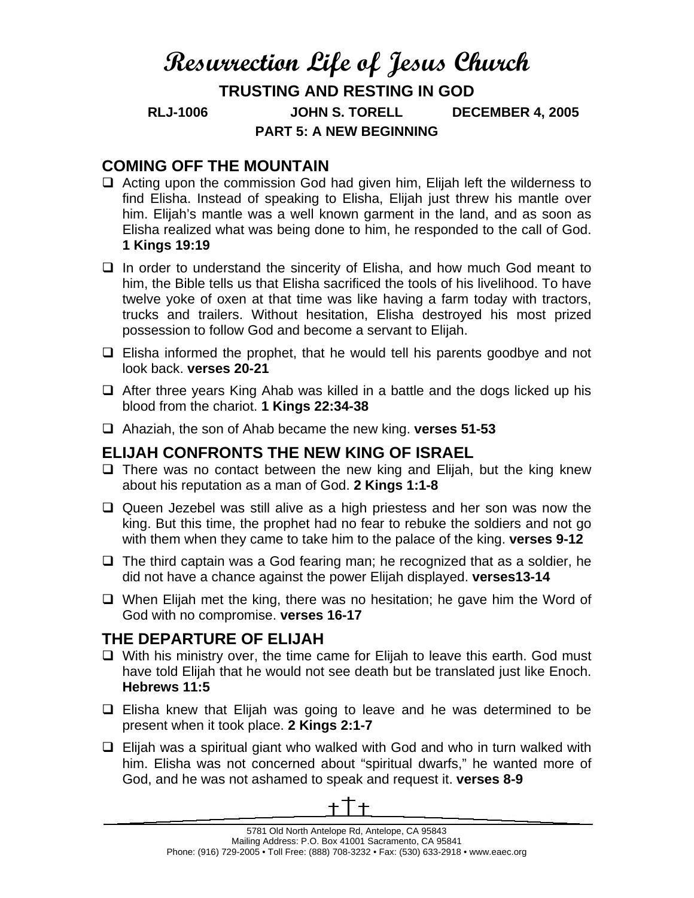# **Resurrection Life of Jesus Church**

**TRUSTING AND RESTING IN GOD RLJ-1006 JOHN S. TORELL DECEMBER 4, 2005 PART 5: A NEW BEGINNING** 

### **COMING OFF THE MOUNTAIN**

- $\Box$  Acting upon the commission God had given him, Elijah left the wilderness to find Elisha. Instead of speaking to Elisha, Elijah just threw his mantle over him. Elijah's mantle was a well known garment in the land, and as soon as Elisha realized what was being done to him, he responded to the call of God. **1 Kings 19:19**
- $\Box$  In order to understand the sincerity of Elisha, and how much God meant to him, the Bible tells us that Elisha sacrificed the tools of his livelihood. To have twelve yoke of oxen at that time was like having a farm today with tractors, trucks and trailers. Without hesitation, Elisha destroyed his most prized possession to follow God and become a servant to Elijah.
- $\Box$  Elisha informed the prophet, that he would tell his parents goodbye and not look back. **verses 20-21**
- $\Box$  After three years King Ahab was killed in a battle and the dogs licked up his blood from the chariot. **1 Kings 22:34-38**
- Ahaziah, the son of Ahab became the new king. **verses 51-53**

## **ELIJAH CONFRONTS THE NEW KING OF ISRAEL**

- $\Box$  There was no contact between the new king and Elijah, but the king knew about his reputation as a man of God. **2 Kings 1:1-8**
- $\Box$  Queen Jezebel was still alive as a high priestess and her son was now the king. But this time, the prophet had no fear to rebuke the soldiers and not go with them when they came to take him to the palace of the king. **verses 9-12**
- $\Box$  The third captain was a God fearing man; he recognized that as a soldier, he did not have a chance against the power Elijah displayed. **verses13-14**
- $\Box$  When Elijah met the king, there was no hesitation; he gave him the Word of God with no compromise. **verses 16-17**

#### **THE DEPARTURE OF ELIJAH**

- $\Box$  With his ministry over, the time came for Elijah to leave this earth. God must have told Elijah that he would not see death but be translated just like Enoch. **Hebrews 11:5**
- $\Box$  Elisha knew that Elijah was going to leave and he was determined to be present when it took place. **2 Kings 2:1-7**
- $\Box$  Elijah was a spiritual giant who walked with God and who in turn walked with him. Elisha was not concerned about "spiritual dwarfs," he wanted more of God, and he was not ashamed to speak and request it. **verses 8-9**